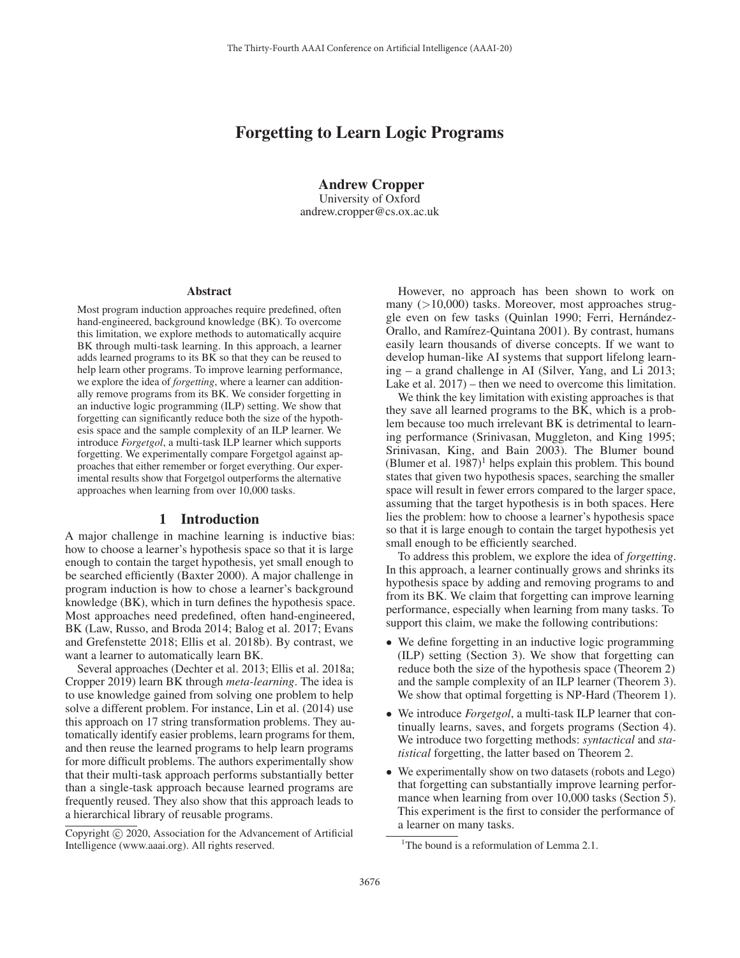# Forgetting to Learn Logic Programs

Andrew Cropper University of Oxford andrew.cropper@cs.ox.ac.uk

#### Abstract

Most program induction approaches require predefined, often hand-engineered, background knowledge (BK). To overcome this limitation, we explore methods to automatically acquire BK through multi-task learning. In this approach, a learner adds learned programs to its BK so that they can be reused to help learn other programs. To improve learning performance, we explore the idea of *forgetting*, where a learner can additionally remove programs from its BK. We consider forgetting in an inductive logic programming (ILP) setting. We show that forgetting can significantly reduce both the size of the hypothesis space and the sample complexity of an ILP learner. We introduce *Forgetgol*, a multi-task ILP learner which supports forgetting. We experimentally compare Forgetgol against approaches that either remember or forget everything. Our experimental results show that Forgetgol outperforms the alternative approaches when learning from over 10,000 tasks.

#### 1 Introduction

A major challenge in machine learning is inductive bias: how to choose a learner's hypothesis space so that it is large enough to contain the target hypothesis, yet small enough to be searched efficiently (Baxter 2000). A major challenge in program induction is how to chose a learner's background knowledge (BK), which in turn defines the hypothesis space. Most approaches need predefined, often hand-engineered, BK (Law, Russo, and Broda 2014; Balog et al. 2017; Evans and Grefenstette 2018; Ellis et al. 2018b). By contrast, we want a learner to automatically learn BK.

Several approaches (Dechter et al. 2013; Ellis et al. 2018a; Cropper 2019) learn BK through *meta-learning*. The idea is to use knowledge gained from solving one problem to help solve a different problem. For instance, Lin et al. (2014) use this approach on 17 string transformation problems. They automatically identify easier problems, learn programs for them, and then reuse the learned programs to help learn programs for more difficult problems. The authors experimentally show that their multi-task approach performs substantially better than a single-task approach because learned programs are frequently reused. They also show that this approach leads to a hierarchical library of reusable programs.

However, no approach has been shown to work on many (>10,000) tasks. Moreover, most approaches struggle even on few tasks (Quinlan 1990; Ferri, Hernández-Orallo, and Ramírez-Quintana 2001). By contrast, humans easily learn thousands of diverse concepts. If we want to develop human-like AI systems that support lifelong learning – a grand challenge in AI (Silver, Yang, and Li 2013; Lake et al. 2017) – then we need to overcome this limitation.

We think the key limitation with existing approaches is that they save all learned programs to the BK, which is a problem because too much irrelevant BK is detrimental to learning performance (Srinivasan, Muggleton, and King 1995; Srinivasan, King, and Bain 2003). The Blumer bound (Blumer et al.  $1987$ )<sup>1</sup> helps explain this problem. This bound states that given two hypothesis spaces, searching the smaller space will result in fewer errors compared to the larger space, assuming that the target hypothesis is in both spaces. Here lies the problem: how to choose a learner's hypothesis space so that it is large enough to contain the target hypothesis yet small enough to be efficiently searched.

To address this problem, we explore the idea of *forgetting*. In this approach, a learner continually grows and shrinks its hypothesis space by adding and removing programs to and from its BK. We claim that forgetting can improve learning performance, especially when learning from many tasks. To support this claim, we make the following contributions:

- We define forgetting in an inductive logic programming (ILP) setting (Section 3). We show that forgetting can reduce both the size of the hypothesis space (Theorem 2) and the sample complexity of an ILP learner (Theorem 3). We show that optimal forgetting is NP-Hard (Theorem 1).
- We introduce *Forgetgol*, a multi-task ILP learner that continually learns, saves, and forgets programs (Section 4). We introduce two forgetting methods: *syntactical* and *statistical* forgetting, the latter based on Theorem 2.
- We experimentally show on two datasets (robots and Lego) that forgetting can substantially improve learning performance when learning from over 10,000 tasks (Section 5). This experiment is the first to consider the performance of a learner on many tasks.

Copyright  $\odot$  2020, Association for the Advancement of Artificial Intelligence (www.aaai.org). All rights reserved.

<sup>&</sup>lt;sup>1</sup>The bound is a reformulation of Lemma 2.1.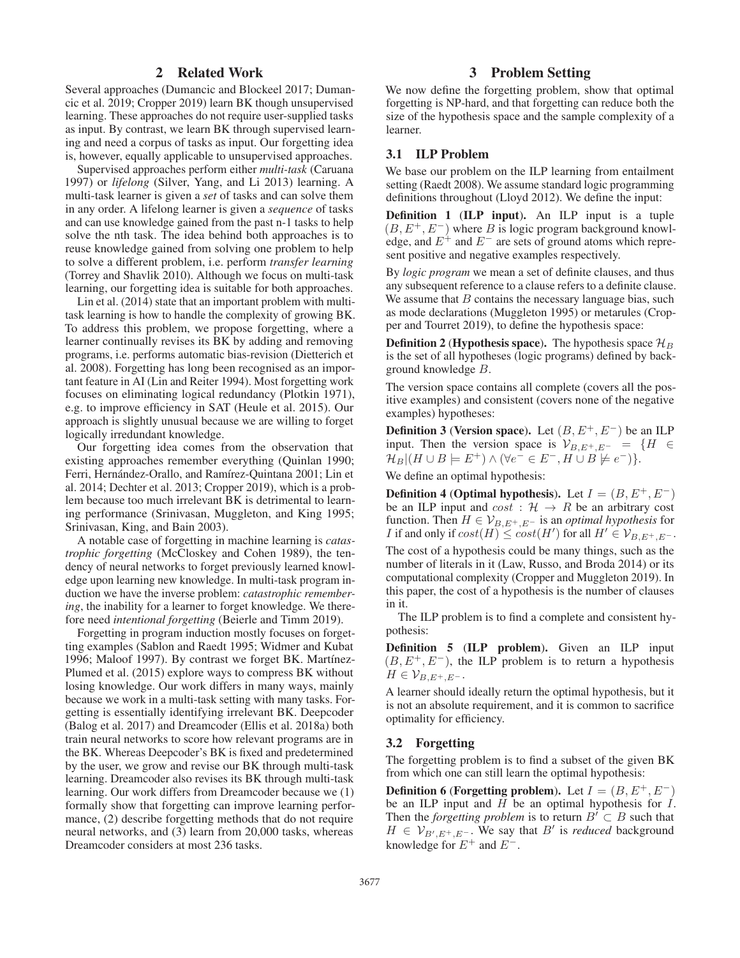# 2 Related Work

Several approaches (Dumancic and Blockeel 2017; Dumancic et al. 2019; Cropper 2019) learn BK though unsupervised learning. These approaches do not require user-supplied tasks as input. By contrast, we learn BK through supervised learning and need a corpus of tasks as input. Our forgetting idea is, however, equally applicable to unsupervised approaches.

Supervised approaches perform either *multi-task* (Caruana 1997) or *lifelong* (Silver, Yang, and Li 2013) learning. A multi-task learner is given a *set* of tasks and can solve them in any order. A lifelong learner is given a *sequence* of tasks and can use knowledge gained from the past n-1 tasks to help solve the nth task. The idea behind both approaches is to reuse knowledge gained from solving one problem to help to solve a different problem, i.e. perform *transfer learning* (Torrey and Shavlik 2010). Although we focus on multi-task learning, our forgetting idea is suitable for both approaches.

Lin et al. (2014) state that an important problem with multitask learning is how to handle the complexity of growing BK. To address this problem, we propose forgetting, where a learner continually revises its BK by adding and removing programs, i.e. performs automatic bias-revision (Dietterich et al. 2008). Forgetting has long been recognised as an important feature in AI (Lin and Reiter 1994). Most forgetting work focuses on eliminating logical redundancy (Plotkin 1971), e.g. to improve efficiency in SAT (Heule et al. 2015). Our approach is slightly unusual because we are willing to forget logically irredundant knowledge.

Our forgetting idea comes from the observation that existing approaches remember everything (Quinlan 1990; Ferri, Hernández-Orallo, and Ramírez-Quintana 2001; Lin et al. 2014; Dechter et al. 2013; Cropper 2019), which is a problem because too much irrelevant BK is detrimental to learning performance (Srinivasan, Muggleton, and King 1995; Srinivasan, King, and Bain 2003).

A notable case of forgetting in machine learning is *catastrophic forgetting* (McCloskey and Cohen 1989), the tendency of neural networks to forget previously learned knowledge upon learning new knowledge. In multi-task program induction we have the inverse problem: *catastrophic remembering*, the inability for a learner to forget knowledge. We therefore need *intentional forgetting* (Beierle and Timm 2019).

Forgetting in program induction mostly focuses on forgetting examples (Sablon and Raedt 1995; Widmer and Kubat 1996; Maloof 1997). By contrast we forget BK. Martínez-Plumed et al. (2015) explore ways to compress BK without losing knowledge. Our work differs in many ways, mainly because we work in a multi-task setting with many tasks. Forgetting is essentially identifying irrelevant BK. Deepcoder (Balog et al. 2017) and Dreamcoder (Ellis et al. 2018a) both train neural networks to score how relevant programs are in the BK. Whereas Deepcoder's BK is fixed and predetermined by the user, we grow and revise our BK through multi-task learning. Dreamcoder also revises its BK through multi-task learning. Our work differs from Dreamcoder because we (1) formally show that forgetting can improve learning performance, (2) describe forgetting methods that do not require neural networks, and (3) learn from 20,000 tasks, whereas Dreamcoder considers at most 236 tasks.

# 3 Problem Setting

We now define the forgetting problem, show that optimal forgetting is NP-hard, and that forgetting can reduce both the size of the hypothesis space and the sample complexity of a learner.

#### 3.1 ILP Problem

We base our problem on the ILP learning from entailment setting (Raedt 2008). We assume standard logic programming definitions throughout (Lloyd 2012). We define the input:

Definition 1 (ILP input). An ILP input is a tuple  $(B, E<sup>+</sup>, E<sup>-</sup>)$  where B is logic program background knowledge, and  $E^+$  and  $E^-$  are sets of ground atoms which represent positive and negative examples respectively.

By *logic program* we mean a set of definite clauses, and thus any subsequent reference to a clause refers to a definite clause. We assume that  $B$  contains the necessary language bias, such as mode declarations (Muggleton 1995) or metarules (Cropper and Tourret 2019), to define the hypothesis space:

**Definition 2 (Hypothesis space).** The hypothesis space  $\mathcal{H}_B$ is the set of all hypotheses (logic programs) defined by background knowledge B.

The version space contains all complete (covers all the positive examples) and consistent (covers none of the negative examples) hypotheses:

**Definition 3 (Version space).** Let  $(B, E^+, E^-)$  be an ILP input. Then the version space is  $\mathcal{V}_{B,E^+,E^-} = \{H \in$  $\mathcal{H}_B|(H \cup B \models E^+) \wedge (\forall e^- \in E^-, H \cup B \not\models e^-)\}.$ 

We define an optimal hypothesis:

Definition 4 (Optimal hypothesis). Let  $I = (B, E^+, E^-)$ be an ILP input and  $cost : \mathcal{H} \rightarrow R$  be an arbitrary cost function. Then  $H \in V_{B,E^+,E^-}$  is an *optimal hypothesis* for *I* if and only if  $cost(H) \leq cost(H')$  for all  $H' \in \mathcal{V}_{B,E^+,E^-}.$ 

The cost of a hypothesis could be many things, such as the number of literals in it (Law, Russo, and Broda 2014) or its computational complexity (Cropper and Muggleton 2019). In this paper, the cost of a hypothesis is the number of clauses in it.

The ILP problem is to find a complete and consistent hypothesis:

Definition 5 (ILP problem). Given an ILP input  $(B, E^+, E^-)$ , the ILP problem is to return a hypothesis  $H \in \mathcal{V}_{B,E^+,E^-}.$ 

A learner should ideally return the optimal hypothesis, but it is not an absolute requirement, and it is common to sacrifice optimality for efficiency.

### 3.2 Forgetting

The forgetting problem is to find a subset of the given BK from which one can still learn the optimal hypothesis:

Definition 6 (Forgetting problem). Let  $I = (B, E^+, E^-)$ be an ILP input and  $H$  be an optimal hypothesis for  $I$ . Then the *forgetting problem* is to return  $B' \subset B$  such that  $H \in V_{B',E^+,E^-}$ . We say that B' is *reduced* background knowledge for  $E^+$  and  $E^-$ .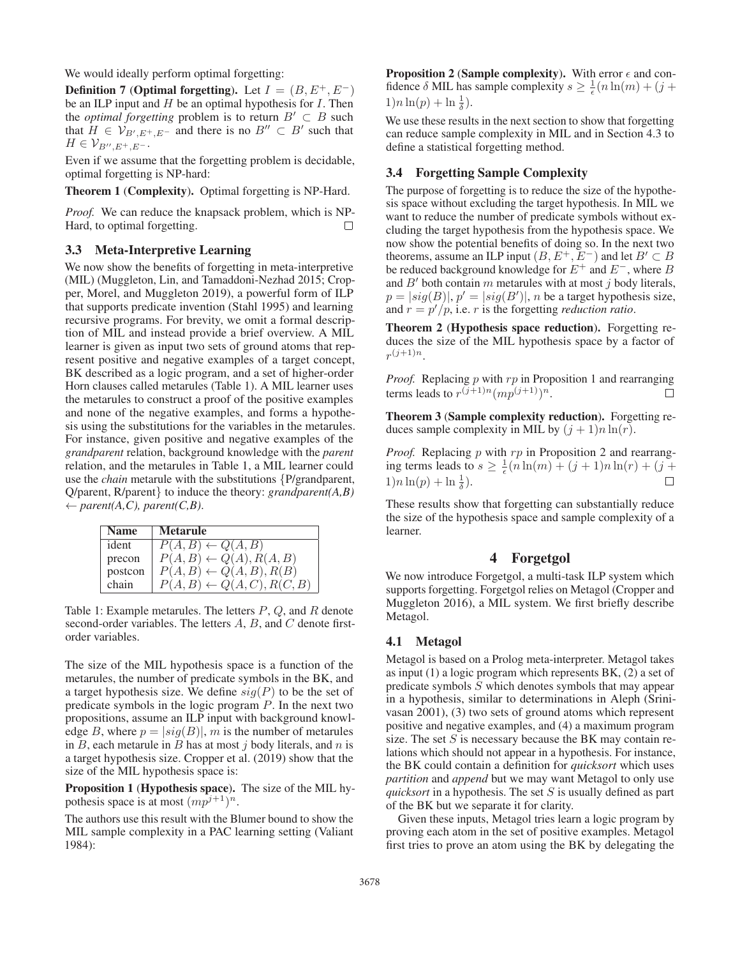We would ideally perform optimal forgetting:

Definition 7 (Optimal forgetting). Let  $I = (B, E^+, E^-)$ be an ILP input and  $H$  be an optimal hypothesis for  $I$ . Then the *optimal forgetting* problem is to return  $B' \subset B$  such that  $H \in V_{B',E^+,E^-}$  and there is no  $B'' \subset B'$  such that  $H\in \mathcal{V}_{B'',E^+,E^-}.$ 

Even if we assume that the forgetting problem is decidable, optimal forgetting is NP-hard:

Theorem 1 (Complexity). Optimal forgetting is NP-Hard.

*Proof.* We can reduce the knapsack problem, which is NP-Hard, to optimal forgetting.  $\Box$ 

### 3.3 Meta-Interpretive Learning

We now show the benefits of forgetting in meta-interpretive (MIL) (Muggleton, Lin, and Tamaddoni-Nezhad 2015; Cropper, Morel, and Muggleton 2019), a powerful form of ILP that supports predicate invention (Stahl 1995) and learning recursive programs. For brevity, we omit a formal description of MIL and instead provide a brief overview. A MIL learner is given as input two sets of ground atoms that represent positive and negative examples of a target concept, BK described as a logic program, and a set of higher-order Horn clauses called metarules (Table 1). A MIL learner uses the metarules to construct a proof of the positive examples and none of the negative examples, and forms a hypothesis using the substitutions for the variables in the metarules. For instance, given positive and negative examples of the *grandparent* relation, background knowledge with the *parent* relation, and the metarules in Table 1, a MIL learner could use the *chain* metarule with the substitutions {P/grandparent, Q/parent, R/parent} to induce the theory: *grandparent(A,B)*  $\leftarrow$  parent(A,C), parent(C,B).

| <b>Name</b> | <b>Metarule</b>                       |
|-------------|---------------------------------------|
| ident       | $P(A, B) \leftarrow Q(A, B)$          |
| precon      | $P(A, B) \leftarrow Q(A), R(A, B)$    |
| postcon     | $P(A, B) \leftarrow Q(A, B), R(B)$    |
| chain       | $P(A, B) \leftarrow Q(A, C), R(C, B)$ |

Table 1: Example metarules. The letters  $P$ ,  $Q$ , and  $R$  denote second-order variables. The letters  $A$ ,  $B$ , and  $C$  denote firstorder variables.

The size of the MIL hypothesis space is a function of the metarules, the number of predicate symbols in the BK, and a target hypothesis size. We define  $sig(P)$  to be the set of predicate symbols in the logic program P. In the next two propositions, assume an ILP input with background knowledge B, where  $p = |sig(B)|$ , m is the number of metarules in  $B$ , each metarule in  $B$  has at most  $j$  body literals, and  $n$  is a target hypothesis size. Cropper et al. (2019) show that the size of the MIL hypothesis space is:

Proposition 1 (Hypothesis space). The size of the MIL hypothesis space is at most  $(mp^{j+1})^n$ .

The authors use this result with the Blumer bound to show the MIL sample complexity in a PAC learning setting (Valiant 1984):

Proposition 2 (Sample complexity). With error  $\epsilon$  and confidence  $\delta$  MIL has sample complexity  $s \geq \frac{1}{\epsilon} (n \ln(m) + (j +$  $1)n\ln(p) + \ln\frac{1}{\delta}$ .

We use these results in the next section to show that forgetting can reduce sample complexity in MIL and in Section 4.3 to define a statistical forgetting method.

# 3.4 Forgetting Sample Complexity

The purpose of forgetting is to reduce the size of the hypothesis space without excluding the target hypothesis. In MIL we want to reduce the number of predicate symbols without excluding the target hypothesis from the hypothesis space. We now show the potential benefits of doing so. In the next two theorems, assume an ILP input  $(B, E<sup>+</sup>, E<sup>-</sup>)$  and let  $B' \subset B$ be reduced background knowledge for  $E^+$  and  $E^-$ , where B and  $B'$  both contain m metarules with at most j body literals,  $p = |sig(B)|, p' = |sig(B')|, n$  be a target hypothesis size, and  $r = p'/p$ , i.e. r is the forgetting *reduction ratio*.

Theorem 2 (Hypothesis space reduction). Forgetting reduces the size of the MIL hypothesis space by a factor of  $r^{(j+1)n}$ .

*Proof.* Replacing  $p$  with  $rp$  in Proposition 1 and rearranging terms leads to  $r^{(j+1)n}(mp^{(j+1)})^n$ .  $\Box$ 

Theorem 3 (Sample complexity reduction). Forgetting reduces sample complexity in MIL by  $(j + 1)n \ln(r)$ .

*Proof.* Replacing  $p$  with  $rp$  in Proposition 2 and rearranging terms leads to  $s \geq \frac{1}{\epsilon} (n \ln(m) + (j + 1)n \ln(r) + (j + 1)n)$  $1)n \ln(p) + \ln \frac{1}{\delta}$ .  $\Box$ 

These results show that forgetting can substantially reduce the size of the hypothesis space and sample complexity of a learner.

# 4 Forgetgol

We now introduce Forgetgol, a multi-task ILP system which supports forgetting. Forgetgol relies on Metagol (Cropper and Muggleton 2016), a MIL system. We first briefly describe Metagol.

### 4.1 Metagol

Metagol is based on a Prolog meta-interpreter. Metagol takes as input (1) a logic program which represents BK, (2) a set of predicate symbols S which denotes symbols that may appear in a hypothesis, similar to determinations in Aleph (Srinivasan 2001), (3) two sets of ground atoms which represent positive and negative examples, and (4) a maximum program size. The set  $S$  is necessary because the BK may contain relations which should not appear in a hypothesis. For instance, the BK could contain a definition for *quicksort* which uses *partition* and *append* but we may want Metagol to only use *quicksort* in a hypothesis. The set S is usually defined as part of the BK but we separate it for clarity.

Given these inputs, Metagol tries learn a logic program by proving each atom in the set of positive examples. Metagol first tries to prove an atom using the BK by delegating the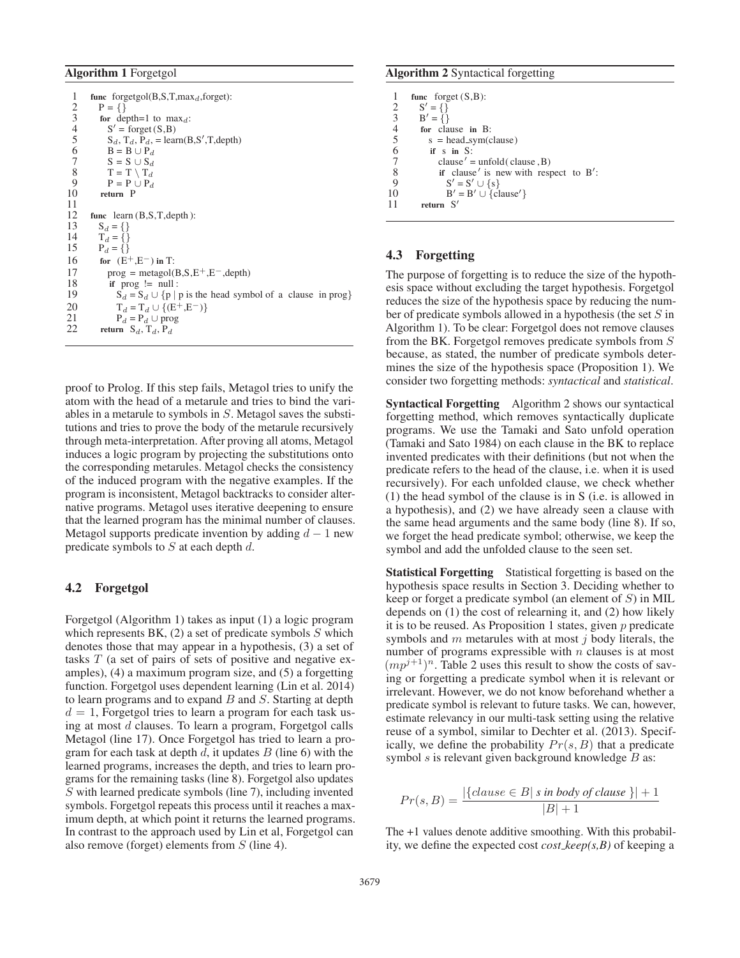### Algorithm 1 Forgetgol

1 func forgetgol(B,S,T,max<sub>d</sub>,forget):<br>2 P = {}  $\begin{matrix} 2 & P = \{ \} \\ 3 & \text{for de} \end{matrix}$ 3 for depth=1 to max<sub>d</sub>:<br>4 S' = forget (S,B)  $4 \qquad S' = \text{forget}(S, B)$ 5  $S_d$ ,  $T_d$ ,  $P_d$ ,  $=$  learn( $B$ , $S'$ ,  $T$ , depth) 6 B = B  $\cup$  P<sub>d</sub> 7  $S = S \cup S_d$ <br>8  $T = T \setminus T_d$ 8  $T = T \setminus T_d$ <br>9  $P = P \cup P_d$ 9  $P = P \cup P_d$ <br>10 return P return P  $\frac{11}{12}$ 12 func learn (B,S,T,depth):<br>13  $S_d = \{\}$ 13  $S_d = \{\}$ <br>14  $T_d = \{\}$ 14  $T_d = \{\}$ <br>15  $P_d = \{\}$  $P_d = \{\}$ 16 for  $(E^+, E^-)$  in T: 17 prog = metagol(B,S,E<sup>+</sup>,E<sup>-</sup>,depth)<br>18 if prog != null : 18 if prog != null :<br>19  $S_d = S_d \cup \{p | n \}$  $S_d = S_d \cup \{p \mid p \text{ is the head symbol of a clause in prog}\}\$ 20  $T_d = T_d \cup \{ (E^+, E^-) \}$ <br>21  $P_1 = P_1 + \text{prog}$ 21  $P_d = P_d \cup prog$ <br>22 return S<sub>d</sub>, T<sub>d</sub>, P<sub>d</sub> return  $S_d$ ,  $T_d$ ,  $P_d$ 

proof to Prolog. If this step fails, Metagol tries to unify the atom with the head of a metarule and tries to bind the variables in a metarule to symbols in S. Metagol saves the substitutions and tries to prove the body of the metarule recursively through meta-interpretation. After proving all atoms, Metagol induces a logic program by projecting the substitutions onto the corresponding metarules. Metagol checks the consistency of the induced program with the negative examples. If the program is inconsistent, Metagol backtracks to consider alternative programs. Metagol uses iterative deepening to ensure that the learned program has the minimal number of clauses. Metagol supports predicate invention by adding  $d - 1$  new predicate symbols to  $S$  at each depth  $d$ .

## 4.2 Forgetgol

Forgetgol (Algorithm 1) takes as input (1) a logic program which represents BK,  $(2)$  a set of predicate symbols  $S$  which denotes those that may appear in a hypothesis, (3) a set of tasks T (a set of pairs of sets of positive and negative examples), (4) a maximum program size, and (5) a forgetting function. Forgetgol uses dependent learning (Lin et al. 2014) to learn programs and to expand  $B$  and  $S$ . Starting at depth  $d = 1$ , Forgetgol tries to learn a program for each task using at most d clauses. To learn a program, Forgetgol calls Metagol (line 17). Once Forgetgol has tried to learn a program for each task at depth  $d$ , it updates  $B$  (line 6) with the learned programs, increases the depth, and tries to learn programs for the remaining tasks (line 8). Forgetgol also updates S with learned predicate symbols (line 7), including invented symbols. Forgetgol repeats this process until it reaches a maximum depth, at which point it returns the learned programs. In contrast to the approach used by Lin et al, Forgetgol can also remove (forget) elements from S (line 4).

## Algorithm 2 Syntactical forgetting

|                                            | func forget $(S, B)$ :                   |
|--------------------------------------------|------------------------------------------|
| 2                                          | $S' = \{\}$                              |
|                                            | $B' = \{\}$                              |
| $\begin{array}{c} 3 \\ 4 \\ 5 \end{array}$ | for clause in B:                         |
|                                            | $s = head_sym$ (clause)                  |
| 6                                          | if $s$ in $S$ :                          |
| $\overline{7}$                             | $clause' = unfold(clause, B)$            |
| 8                                          | if clause' is new with respect to $B'$ : |
| 9                                          | $S' = S' \cup \{s\}$                     |
| 10                                         | $B' = B' \cup \{ clause'\}$              |
| 11                                         | S'<br>return                             |
|                                            |                                          |

### 4.3 Forgetting

The purpose of forgetting is to reduce the size of the hypothesis space without excluding the target hypothesis. Forgetgol reduces the size of the hypothesis space by reducing the number of predicate symbols allowed in a hypothesis (the set S in Algorithm 1). To be clear: Forgetgol does not remove clauses from the BK. Forgetgol removes predicate symbols from S because, as stated, the number of predicate symbols determines the size of the hypothesis space (Proposition 1). We consider two forgetting methods: *syntactical* and *statistical*.

Syntactical Forgetting Algorithm 2 shows our syntactical forgetting method, which removes syntactically duplicate programs. We use the Tamaki and Sato unfold operation (Tamaki and Sato 1984) on each clause in the BK to replace invented predicates with their definitions (but not when the predicate refers to the head of the clause, i.e. when it is used recursively). For each unfolded clause, we check whether (1) the head symbol of the clause is in S (i.e. is allowed in a hypothesis), and (2) we have already seen a clause with the same head arguments and the same body (line 8). If so, we forget the head predicate symbol; otherwise, we keep the symbol and add the unfolded clause to the seen set.

Statistical Forgetting Statistical forgetting is based on the hypothesis space results in Section 3. Deciding whether to keep or forget a predicate symbol (an element of S) in MIL depends on (1) the cost of relearning it, and (2) how likely it is to be reused. As Proposition 1 states, given  $p$  predicate symbols and  $m$  metarules with at most  $j$  body literals, the number of programs expressible with  $n$  clauses is at most  $(mp^{j+1})^n$ . Table 2 uses this result to show the costs of saving or forgetting a predicate symbol when it is relevant or irrelevant. However, we do not know beforehand whether a predicate symbol is relevant to future tasks. We can, however, estimate relevancy in our multi-task setting using the relative reuse of a symbol, similar to Dechter et al. (2013). Specifically, we define the probability  $Pr(s, B)$  that a predicate symbol  $s$  is relevant given background knowledge  $B$  as:

$$
Pr(s, B) = \frac{|\{clause \in B \mid s \text{ in body of clause }\}| + 1}{|B| + 1}
$$

The +1 values denote additive smoothing. With this probability, we define the expected cost *cost keep(s,B)* of keeping a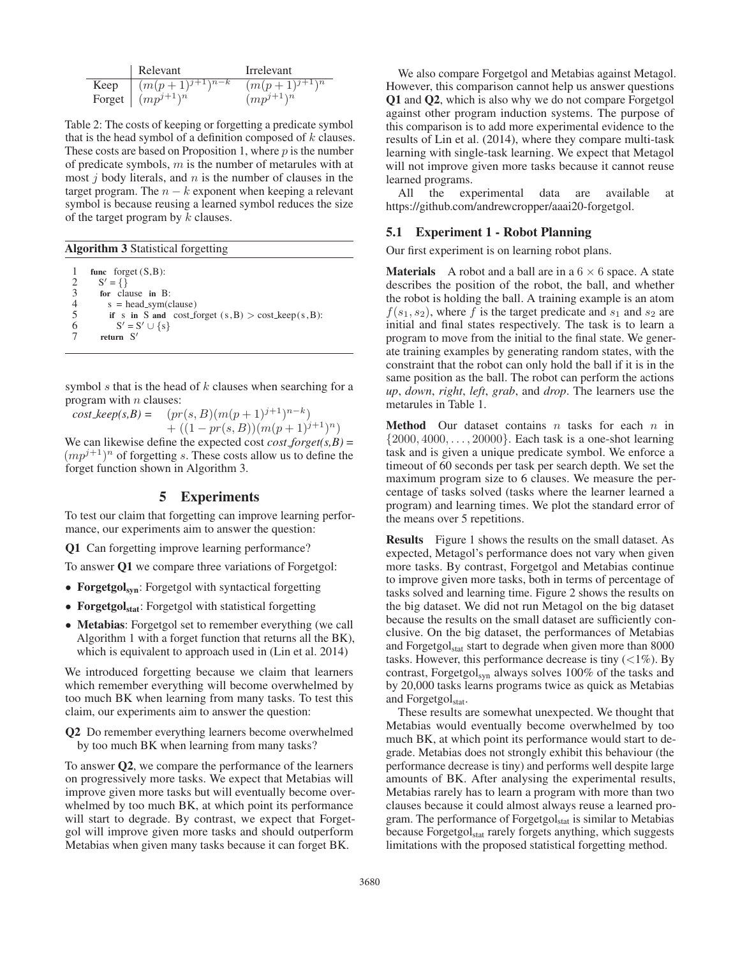|      | Relevant                            | Irrelevant         |
|------|-------------------------------------|--------------------|
| Keep | $\frac{1}{(m(p+1)^{j+1})^{n-k}}$    | $(m(p+1)^{j+1})^n$ |
|      | Forget $\left( m p^{j+1} \right)^n$ | $(mp^{j+1})^n$     |

Table 2: The costs of keeping or forgetting a predicate symbol that is the head symbol of a definition composed of  $k$  clauses. These costs are based on Proposition 1, where  $p$  is the number of predicate symbols, m is the number of metarules with at most  $j$  body literals, and  $n$  is the number of clauses in the target program. The  $n - k$  exponent when keeping a relevant symbol is because reusing a learned symbol reduces the size of the target program by  $k$  clauses.

Algorithm 3 Statistical forgetting

1 func forget (S,B): 2  $S' = \{\}$  $\begin{array}{ll}\n3 & \text{for clause in B:} \\
4 & \text{s = head\_sym(c)}\n\end{array}$  $s = head_sym$ (clause) 5 if s in S and cost forget (s, B) > cost keep(s, B):<br>6  $S' = S' \cup \{s\}$ 6  $S' = S' \cup \{s\}$ 7 return  $S'$ 

symbol  $s$  that is the head of  $k$  clauses when searching for a program with  $n$  clauses:

 $cost\_keep(s, B) = (pr(s, B)(m(p + 1)^{j+1})^{n-k})$ +  $((1 - pr(s, B))(m(p + 1)^{j+1})^n)$ 

We can likewise define the expected cost  $cost_f forget(s, B)$  =  $(mp<sup>j+1</sup>)<sup>n</sup>$  of forgetting s. These costs allow us to define the forget function shown in Algorithm 3.

# 5 Experiments

To test our claim that forgetting can improve learning performance, our experiments aim to answer the question:

Q1 Can forgetting improve learning performance?

To answer Q1 we compare three variations of Forgetgol:

- Forgetgol<sub>syn</sub>: Forgetgol with syntactical forgetting
- Forgetgol<sub>stat</sub>: Forgetgol with statistical forgetting
- Metabias: Forgetgol set to remember everything (we call Algorithm 1 with a forget function that returns all the BK), which is equivalent to approach used in (Lin et al. 2014)

We introduced forgetting because we claim that learners which remember everything will become overwhelmed by too much BK when learning from many tasks. To test this claim, our experiments aim to answer the question:

Q2 Do remember everything learners become overwhelmed by too much BK when learning from many tasks?

To answer Q2, we compare the performance of the learners on progressively more tasks. We expect that Metabias will improve given more tasks but will eventually become overwhelmed by too much BK, at which point its performance will start to degrade. By contrast, we expect that Forgetgol will improve given more tasks and should outperform Metabias when given many tasks because it can forget BK.

We also compare Forgetgol and Metabias against Metagol. However, this comparison cannot help us answer questions Q1 and Q2, which is also why we do not compare Forgetgol against other program induction systems. The purpose of this comparison is to add more experimental evidence to the results of Lin et al. (2014), where they compare multi-task learning with single-task learning. We expect that Metagol will not improve given more tasks because it cannot reuse learned programs.

All the experimental data are available at https://github.com/andrewcropper/aaai20-forgetgol.

### 5.1 Experiment 1 - Robot Planning

Our first experiment is on learning robot plans.

**Materials** A robot and a ball are in a  $6 \times 6$  space. A state describes the position of the robot, the ball, and whether the robot is holding the ball. A training example is an atom  $f(s_1, s_2)$ , where f is the target predicate and  $s_1$  and  $s_2$  are initial and final states respectively. The task is to learn a program to move from the initial to the final state. We generate training examples by generating random states, with the constraint that the robot can only hold the ball if it is in the same position as the ball. The robot can perform the actions *up*, *down*, *right*, *left*, *grab*, and *drop*. The learners use the metarules in Table 1.

**Method** Our dataset contains  $n$  tasks for each  $n$  in  $\{2000, 4000, \ldots, 20000\}$ . Each task is a one-shot learning task and is given a unique predicate symbol. We enforce a timeout of 60 seconds per task per search depth. We set the maximum program size to 6 clauses. We measure the percentage of tasks solved (tasks where the learner learned a program) and learning times. We plot the standard error of the means over 5 repetitions.

Results Figure 1 shows the results on the small dataset. As expected, Metagol's performance does not vary when given more tasks. By contrast, Forgetgol and Metabias continue to improve given more tasks, both in terms of percentage of tasks solved and learning time. Figure 2 shows the results on the big dataset. We did not run Metagol on the big dataset because the results on the small dataset are sufficiently conclusive. On the big dataset, the performances of Metabias and Forgetgol<sub>stat</sub> start to degrade when given more than 8000 tasks. However, this performance decrease is tiny  $\left($  <1%). By contrast, Forgetgol<sub>syn</sub> always solves 100% of the tasks and by 20,000 tasks learns programs twice as quick as Metabias and Forgetgol<sub>stat</sub>.

These results are somewhat unexpected. We thought that Metabias would eventually become overwhelmed by too much BK, at which point its performance would start to degrade. Metabias does not strongly exhibit this behaviour (the performance decrease is tiny) and performs well despite large amounts of BK. After analysing the experimental results, Metabias rarely has to learn a program with more than two clauses because it could almost always reuse a learned program. The performance of Forgetgol<sub>stat</sub> is similar to Metabias because Forgetgol<sub>stat</sub> rarely forgets anything, which suggests limitations with the proposed statistical forgetting method.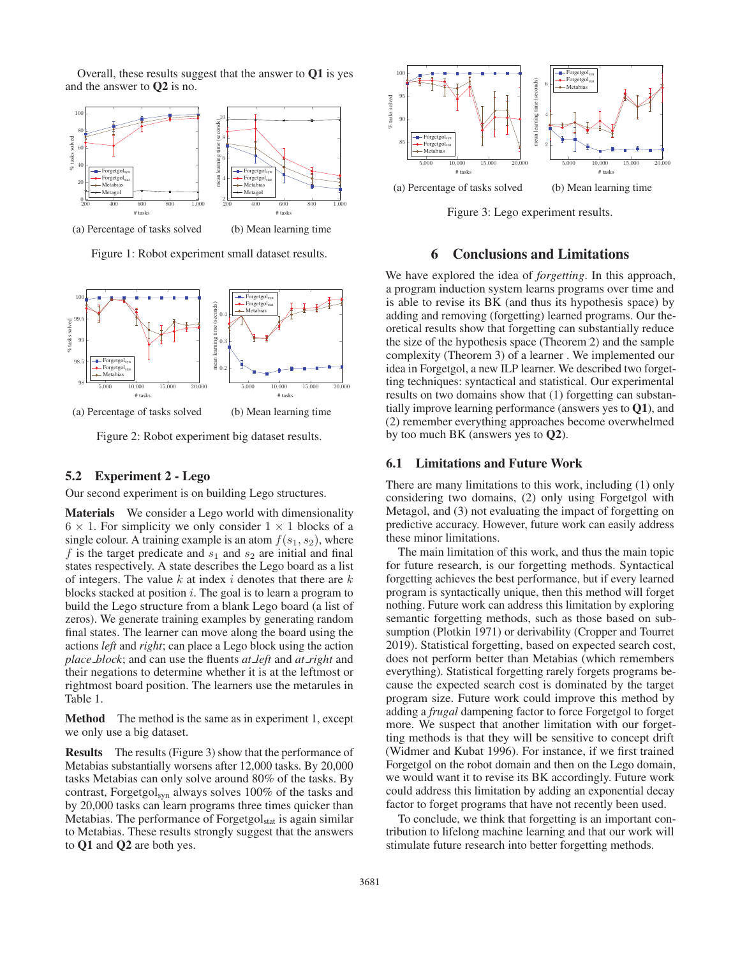Overall, these results suggest that the answer to Q1 is yes and the answer to Q2 is no.



Figure 1: Robot experiment small dataset results.



Figure 2: Robot experiment big dataset results.

### 5.2 Experiment 2 - Lego

Our second experiment is on building Lego structures.

Materials We consider a Lego world with dimensionality  $6 \times 1$ . For simplicity we only consider  $1 \times 1$  blocks of a single colour. A training example is an atom  $f(s_1, s_2)$ , where f is the target predicate and  $s_1$  and  $s_2$  are initial and final states respectively. A state describes the Lego board as a list of integers. The value  $k$  at index  $i$  denotes that there are  $k$ blocks stacked at position  $i$ . The goal is to learn a program to build the Lego structure from a blank Lego board (a list of zeros). We generate training examples by generating random final states. The learner can move along the board using the actions *left* and *right*; can place a Lego block using the action *place block*; and can use the fluents *at left* and *at right* and their negations to determine whether it is at the leftmost or rightmost board position. The learners use the metarules in Table 1.

Method The method is the same as in experiment 1, except we only use a big dataset.

Results The results (Figure 3) show that the performance of Metabias substantially worsens after 12,000 tasks. By 20,000 tasks Metabias can only solve around 80% of the tasks. By contrast, Forgetgol<sub>syn</sub> always solves 100% of the tasks and by 20,000 tasks can learn programs three times quicker than Metabias. The performance of  $F{\rm or}$  getgol<sub>stat</sub> is again similar to Metabias. These results strongly suggest that the answers to Q1 and Q2 are both yes.



Figure 3: Lego experiment results.

### 6 Conclusions and Limitations

We have explored the idea of *forgetting*. In this approach, a program induction system learns programs over time and is able to revise its BK (and thus its hypothesis space) by adding and removing (forgetting) learned programs. Our theoretical results show that forgetting can substantially reduce the size of the hypothesis space (Theorem 2) and the sample complexity (Theorem 3) of a learner . We implemented our idea in Forgetgol, a new ILP learner. We described two forgetting techniques: syntactical and statistical. Our experimental results on two domains show that (1) forgetting can substantially improve learning performance (answers yes to Q1), and (2) remember everything approaches become overwhelmed by too much BK (answers yes to Q2).

#### 6.1 Limitations and Future Work

There are many limitations to this work, including (1) only considering two domains, (2) only using Forgetgol with Metagol, and (3) not evaluating the impact of forgetting on predictive accuracy. However, future work can easily address these minor limitations.

The main limitation of this work, and thus the main topic for future research, is our forgetting methods. Syntactical forgetting achieves the best performance, but if every learned program is syntactically unique, then this method will forget nothing. Future work can address this limitation by exploring semantic forgetting methods, such as those based on subsumption (Plotkin 1971) or derivability (Cropper and Tourret 2019). Statistical forgetting, based on expected search cost, does not perform better than Metabias (which remembers everything). Statistical forgetting rarely forgets programs because the expected search cost is dominated by the target program size. Future work could improve this method by adding a *frugal* dampening factor to force Forgetgol to forget more. We suspect that another limitation with our forgetting methods is that they will be sensitive to concept drift (Widmer and Kubat 1996). For instance, if we first trained Forgetgol on the robot domain and then on the Lego domain, we would want it to revise its BK accordingly. Future work could address this limitation by adding an exponential decay factor to forget programs that have not recently been used.

To conclude, we think that forgetting is an important contribution to lifelong machine learning and that our work will stimulate future research into better forgetting methods.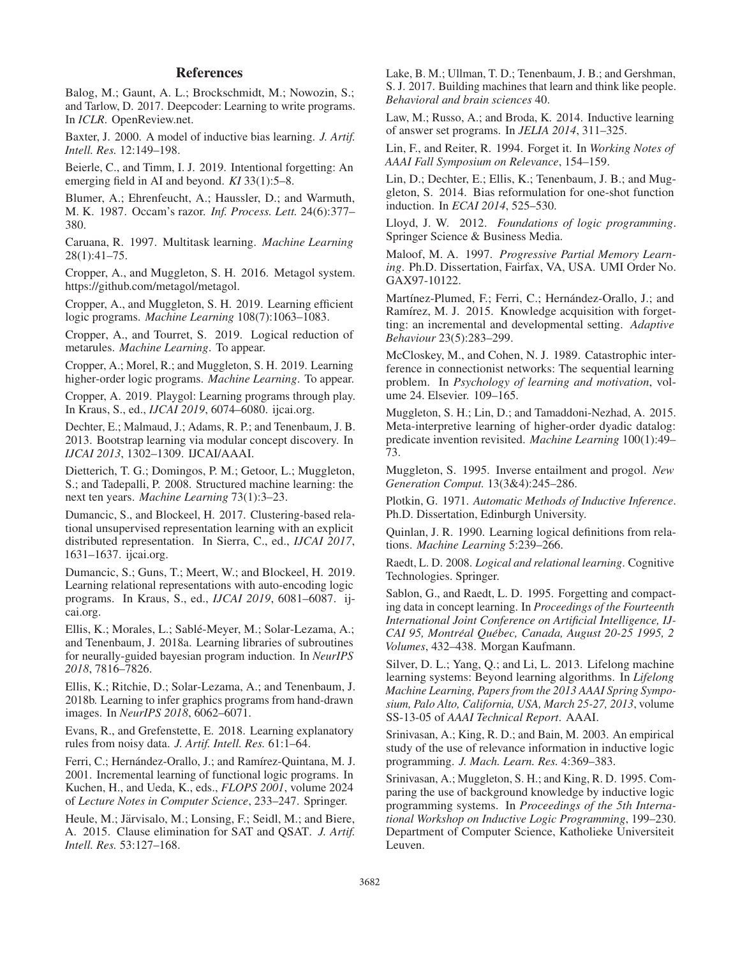## **References**

Balog, M.; Gaunt, A. L.; Brockschmidt, M.; Nowozin, S.; and Tarlow, D. 2017. Deepcoder: Learning to write programs. In *ICLR*. OpenReview.net.

Baxter, J. 2000. A model of inductive bias learning. *J. Artif. Intell. Res.* 12:149–198.

Beierle, C., and Timm, I. J. 2019. Intentional forgetting: An emerging field in AI and beyond. *KI* 33(1):5–8.

Blumer, A.; Ehrenfeucht, A.; Haussler, D.; and Warmuth, M. K. 1987. Occam's razor. *Inf. Process. Lett.* 24(6):377– 380.

Caruana, R. 1997. Multitask learning. *Machine Learning* 28(1):41–75.

Cropper, A., and Muggleton, S. H. 2016. Metagol system. https://github.com/metagol/metagol.

Cropper, A., and Muggleton, S. H. 2019. Learning efficient logic programs. *Machine Learning* 108(7):1063–1083.

Cropper, A., and Tourret, S. 2019. Logical reduction of metarules. *Machine Learning*. To appear.

Cropper, A.; Morel, R.; and Muggleton, S. H. 2019. Learning higher-order logic programs. *Machine Learning*. To appear.

Cropper, A. 2019. Playgol: Learning programs through play. In Kraus, S., ed., *IJCAI 2019*, 6074–6080. ijcai.org.

Dechter, E.; Malmaud, J.; Adams, R. P.; and Tenenbaum, J. B. 2013. Bootstrap learning via modular concept discovery. In *IJCAI 2013*, 1302–1309. IJCAI/AAAI.

Dietterich, T. G.; Domingos, P. M.; Getoor, L.; Muggleton, S.; and Tadepalli, P. 2008. Structured machine learning: the next ten years. *Machine Learning* 73(1):3–23.

Dumancic, S., and Blockeel, H. 2017. Clustering-based relational unsupervised representation learning with an explicit distributed representation. In Sierra, C., ed., *IJCAI 2017*, 1631–1637. ijcai.org.

Dumancic, S.; Guns, T.; Meert, W.; and Blockeel, H. 2019. Learning relational representations with auto-encoding logic programs. In Kraus, S., ed., *IJCAI 2019*, 6081–6087. ijcai.org.

Ellis, K.; Morales, L.; Sablé-Meyer, M.; Solar-Lezama, A.; and Tenenbaum, J. 2018a. Learning libraries of subroutines for neurally-guided bayesian program induction. In *NeurIPS 2018*, 7816–7826.

Ellis, K.; Ritchie, D.; Solar-Lezama, A.; and Tenenbaum, J. 2018b. Learning to infer graphics programs from hand-drawn images. In *NeurIPS 2018*, 6062–6071.

Evans, R., and Grefenstette, E. 2018. Learning explanatory rules from noisy data. *J. Artif. Intell. Res.* 61:1–64.

Ferri, C.; Hernández-Orallo, J.; and Ramírez-Quintana, M. J. 2001. Incremental learning of functional logic programs. In Kuchen, H., and Ueda, K., eds., *FLOPS 2001*, volume 2024 of *Lecture Notes in Computer Science*, 233–247. Springer.

Heule, M.; Järvisalo, M.; Lonsing, F.; Seidl, M.; and Biere, A. 2015. Clause elimination for SAT and QSAT. *J. Artif. Intell. Res.* 53:127–168.

Lake, B. M.; Ullman, T. D.; Tenenbaum, J. B.; and Gershman, S. J. 2017. Building machines that learn and think like people. *Behavioral and brain sciences* 40.

Law, M.; Russo, A.; and Broda, K. 2014. Inductive learning of answer set programs. In *JELIA 2014*, 311–325.

Lin, F., and Reiter, R. 1994. Forget it. In *Working Notes of AAAI Fall Symposium on Relevance*, 154–159.

Lin, D.; Dechter, E.; Ellis, K.; Tenenbaum, J. B.; and Muggleton, S. 2014. Bias reformulation for one-shot function induction. In *ECAI 2014*, 525–530.

Lloyd, J. W. 2012. *Foundations of logic programming*. Springer Science & Business Media.

Maloof, M. A. 1997. *Progressive Partial Memory Learning*. Ph.D. Dissertation, Fairfax, VA, USA. UMI Order No. GAX97-10122.

Martínez-Plumed, F.; Ferri, C.; Hernández-Orallo, J.; and Ramírez, M. J. 2015. Knowledge acquisition with forgetting: an incremental and developmental setting. *Adaptive Behaviour* 23(5):283–299.

McCloskey, M., and Cohen, N. J. 1989. Catastrophic interference in connectionist networks: The sequential learning problem. In *Psychology of learning and motivation*, volume 24. Elsevier. 109–165.

Muggleton, S. H.; Lin, D.; and Tamaddoni-Nezhad, A. 2015. Meta-interpretive learning of higher-order dyadic datalog: predicate invention revisited. *Machine Learning* 100(1):49– 73.

Muggleton, S. 1995. Inverse entailment and progol. *New Generation Comput.* 13(3&4):245–286.

Plotkin, G. 1971. *Automatic Methods of Inductive Inference*. Ph.D. Dissertation, Edinburgh University.

Quinlan, J. R. 1990. Learning logical definitions from relations. *Machine Learning* 5:239–266.

Raedt, L. D. 2008. *Logical and relational learning*. Cognitive Technologies. Springer.

Sablon, G., and Raedt, L. D. 1995. Forgetting and compacting data in concept learning. In *Proceedings of the Fourteenth International Joint Conference on Artificial Intelligence, IJ-CAI 95, Montreal Qu ´ ebec, Canada, August 20-25 1995, 2 ´ Volumes*, 432–438. Morgan Kaufmann.

Silver, D. L.; Yang, Q.; and Li, L. 2013. Lifelong machine learning systems: Beyond learning algorithms. In *Lifelong Machine Learning, Papers from the 2013 AAAI Spring Symposium, Palo Alto, California, USA, March 25-27, 2013*, volume SS-13-05 of *AAAI Technical Report*. AAAI.

Srinivasan, A.; King, R. D.; and Bain, M. 2003. An empirical study of the use of relevance information in inductive logic programming. *J. Mach. Learn. Res.* 4:369–383.

Srinivasan, A.; Muggleton, S. H.; and King, R. D. 1995. Comparing the use of background knowledge by inductive logic programming systems. In *Proceedings of the 5th International Workshop on Inductive Logic Programming*, 199–230. Department of Computer Science, Katholieke Universiteit Leuven.